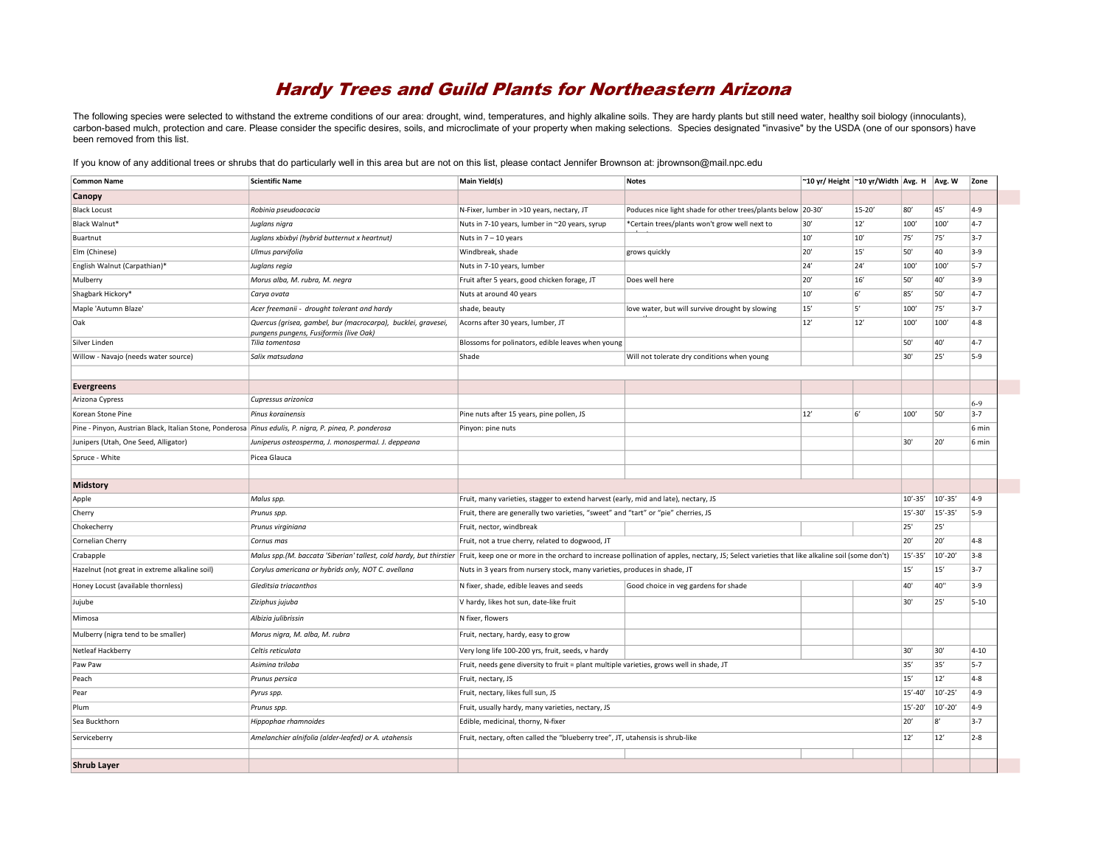## Hardy Trees and Guild Plants for Northeastern Arizona

The following species were selected to withstand the extreme conditions of our area: drought, wind, temperatures, and highly alkaline soils. They are hardy plants but still need water, healthy soil biology (innoculants), carbon-based mulch, protection and care. Please consider the specific desires, soils, and microclimate of your property when making selections. Species designated "invasive" by the USDA (one of our sponsors) have been removed from this list.

If you know of any additional trees or shrubs that do particularly well in this area but are not on this list, please contact Jennifer Brownson at: jbrownson@mail.npc.edu

| <b>Common Name</b>                                                                                            | <b>Scientific Name</b>                                                                                  | <b>Main Yield(s)</b>                                                                                                                                                                                              | <b>Notes</b>                                                 | ~10 yr/ Height  ~10 yr/Width   Avg. H   Avg. W |       |             |             | Zone     |
|---------------------------------------------------------------------------------------------------------------|---------------------------------------------------------------------------------------------------------|-------------------------------------------------------------------------------------------------------------------------------------------------------------------------------------------------------------------|--------------------------------------------------------------|------------------------------------------------|-------|-------------|-------------|----------|
| Canopy                                                                                                        |                                                                                                         |                                                                                                                                                                                                                   |                                                              |                                                |       |             |             |          |
| <b>Black Locust</b>                                                                                           | Robinia pseudoacacia                                                                                    | N-Fixer, lumber in >10 years, nectary, JT                                                                                                                                                                         | Poduces nice light shade for other trees/plants below 20-30' |                                                | 15-20 | 80'         | 45          | $4 - 9$  |
| Black Walnut*                                                                                                 | Juglans nigra                                                                                           | Nuts in 7-10 years, lumber in ~20 years, syrup                                                                                                                                                                    | *Certain trees/plants won't grow well next to                | 30'                                            | 12'   | 100         | 100         | $4 - 7$  |
| Buartnut                                                                                                      | Juglans xbixbyi (hybrid butternut x heartnut)                                                           | Nuts in $7 - 10$ years                                                                                                                                                                                            |                                                              | 10'                                            | 10'   | 75'         | 75'         | $3-7$    |
| Elm (Chinese)                                                                                                 | Ulmus parvifolia                                                                                        | Windbreak, shade                                                                                                                                                                                                  | grows quickly                                                | 20'                                            | 15'   | 50'         | 40          | $3-9$    |
| English Walnut (Carpathian)*                                                                                  | Juglans regia                                                                                           | Nuts in 7-10 years, lumber                                                                                                                                                                                        |                                                              | 24'                                            | 24'   | 100         | 100'        | $5 - 7$  |
| Mulberry                                                                                                      | Morus alba, M. rubra, M. negra                                                                          | Fruit after 5 years, good chicken forage, JT                                                                                                                                                                      | Does well here                                               | 20'                                            | 16'   | 50'         | 40'         | $3 - 9$  |
| Shagbark Hickory*                                                                                             | Carya ovata                                                                                             | Nuts at around 40 years                                                                                                                                                                                           |                                                              | 10'                                            | 6     | 85'         | 50          | $4 - 7$  |
| Maple 'Autumn Blaze'                                                                                          | Acer freemanii - drought tolerant and hardy                                                             | shade, beauty                                                                                                                                                                                                     | love water, but will survive drought by slowing              | $15'$                                          | 5     | 100         | 75'         | $3-7$    |
| Oak                                                                                                           | Quercus (grisea, gambel, bur (macrocarpa), bucklei, gravesei,<br>pungens pungens, Fusiformis (live Oak) | Acorns after 30 years, lumber, JT                                                                                                                                                                                 |                                                              | 12'                                            | $12'$ | 100         | 100'        | $4 - 8$  |
| Silver Linden                                                                                                 | Tilia tomentosa                                                                                         | Blossoms for polinators, edible leaves when young                                                                                                                                                                 |                                                              |                                                |       | 50'         | 40'         | $4 - 7$  |
| Willow - Navajo (needs water source)                                                                          | Salix matsudana                                                                                         | Shade                                                                                                                                                                                                             | Will not tolerate dry conditions when young                  |                                                |       | 30'         | 25'         | $5-9$    |
|                                                                                                               |                                                                                                         |                                                                                                                                                                                                                   |                                                              |                                                |       |             |             |          |
| Evergreens                                                                                                    |                                                                                                         |                                                                                                                                                                                                                   |                                                              |                                                |       |             |             |          |
| Arizona Cypress                                                                                               | Cupressus arizonica                                                                                     |                                                                                                                                                                                                                   |                                                              |                                                |       |             |             | $6 - 9$  |
| Korean Stone Pine                                                                                             | Pinus korainensis                                                                                       | Pine nuts after 15 years, pine pollen, JS                                                                                                                                                                         |                                                              | 12'                                            | 6     | 100         | 50          | $3 - 7$  |
| Pine - Pinyon, Austrian Black, Italian Stone, Ponderosa <i>Pinus edulis, P. nigra, P. pinea, P. ponderosa</i> |                                                                                                         | Pinyon: pine nuts                                                                                                                                                                                                 |                                                              |                                                |       |             |             | 6 min    |
| Junipers (Utah, One Seed, Alligator)                                                                          | Juniperus osteosperma, J. monospermaJ. J. deppeana                                                      |                                                                                                                                                                                                                   |                                                              |                                                |       | 30'         | 20'         | 6 min    |
| Spruce - White                                                                                                | Picea Glauca                                                                                            |                                                                                                                                                                                                                   |                                                              |                                                |       |             |             |          |
|                                                                                                               |                                                                                                         |                                                                                                                                                                                                                   |                                                              |                                                |       |             |             |          |
| <b>Midstory</b>                                                                                               |                                                                                                         |                                                                                                                                                                                                                   |                                                              |                                                |       |             |             |          |
| Apple                                                                                                         | Malus spp.                                                                                              | Fruit, many varieties, stagger to extend harvest (early, mid and late), nectary, JS                                                                                                                               |                                                              |                                                |       | $10' - 35'$ | $10' - 35'$ | $4-9$    |
| Cherry                                                                                                        | Prunus spp.                                                                                             | Fruit, there are generally two varieties, "sweet" and "tart" or "pie" cherries, JS                                                                                                                                |                                                              |                                                |       | $15' - 30'$ | $15' - 35'$ | $5-9$    |
| Chokecherry                                                                                                   | Prunus virginiana                                                                                       | Fruit, nector, windbreak                                                                                                                                                                                          |                                                              |                                                |       | 25'         | 25'         |          |
| Cornelian Cherry                                                                                              | Cornus mas                                                                                              | Fruit, not a true cherry, related to dogwood, JT                                                                                                                                                                  |                                                              |                                                |       | 20'         | 20'         | $4 - 8$  |
| Crabapple                                                                                                     |                                                                                                         | Malus spp. (M. baccata 'Siberian' tallest, cold hardy, but thirstier Fruit, keep one or more in the orchard to increase pollination of apples, nectary, JS; Select varieties that like alkaline soil (some don't) |                                                              |                                                |       | $15' - 35'$ | $10' - 20'$ | $3 - 8$  |
| Hazelnut (not great in extreme alkaline soil)                                                                 | Corylus americana or hybrids only, NOT C. avellana                                                      | Nuts in 3 years from nursery stock, many varieties, produces in shade, JT                                                                                                                                         |                                                              |                                                |       | $15'$       | 15'         | $3 - 7$  |
| Honey Locust (available thornless)                                                                            | Gleditsia triacanthos                                                                                   | N fixer, shade, edible leaves and seeds                                                                                                                                                                           | Good choice in veg gardens for shade                         |                                                |       | 40'         | 40"         | $3-9$    |
| Jujube                                                                                                        | Ziziphus jujuba                                                                                         | V hardy, likes hot sun, date-like fruit                                                                                                                                                                           |                                                              |                                                |       | 30'         | 25'         | $5 - 10$ |
| Mimosa                                                                                                        | Albizia julibrissin                                                                                     | N fixer, flowers                                                                                                                                                                                                  |                                                              |                                                |       |             |             |          |
| Mulberry (nigra tend to be smaller)                                                                           | Morus nigra, M. alba, M. rubra                                                                          | Fruit, nectary, hardy, easy to grow                                                                                                                                                                               |                                                              |                                                |       |             |             |          |
| Netleaf Hackberry                                                                                             | Celtis reticulata                                                                                       | Very long life 100-200 yrs, fruit, seeds, v hardy                                                                                                                                                                 |                                                              |                                                |       | 30'         | 30'         | $4 - 10$ |
| Paw Paw                                                                                                       | Asimina triloba                                                                                         | Fruit, needs gene diversity to fruit = plant multiple varieties, grows well in shade, JT                                                                                                                          |                                                              |                                                |       | 35'         | 35'         | $5 - 7$  |
| Peach                                                                                                         | Prunus persica                                                                                          | Fruit, nectary, JS                                                                                                                                                                                                |                                                              |                                                |       | 15'         | 12'         | $4 - 8$  |
| Pear                                                                                                          | Pyrus spp.                                                                                              | Fruit, nectary, likes full sun, JS                                                                                                                                                                                |                                                              |                                                |       | $15' - 40'$ | $10' - 25'$ | $4 - 9$  |
| Plum                                                                                                          | Prunus spp.                                                                                             | Fruit, usually hardy, many varieties, nectary, JS                                                                                                                                                                 |                                                              |                                                |       | $15' - 20'$ | $10' - 20'$ | $4 - 9$  |
| Sea Buckthorn                                                                                                 | Hippophae rhamnoides                                                                                    | Edible, medicinal, thorny, N-fixer                                                                                                                                                                                |                                                              |                                                |       | 20'         | 8           | $3 - 7$  |
| Serviceberry                                                                                                  | Amelanchier alnifolia (alder-leafed) or A. utahensis                                                    | Fruit, nectary, often called the "blueberry tree", JT, utahensis is shrub-like                                                                                                                                    |                                                              |                                                |       | 12'         | 12'         | $2 - 8$  |
|                                                                                                               |                                                                                                         |                                                                                                                                                                                                                   |                                                              |                                                |       |             |             |          |
| <b>Shrub Layer</b>                                                                                            |                                                                                                         |                                                                                                                                                                                                                   |                                                              |                                                |       |             |             |          |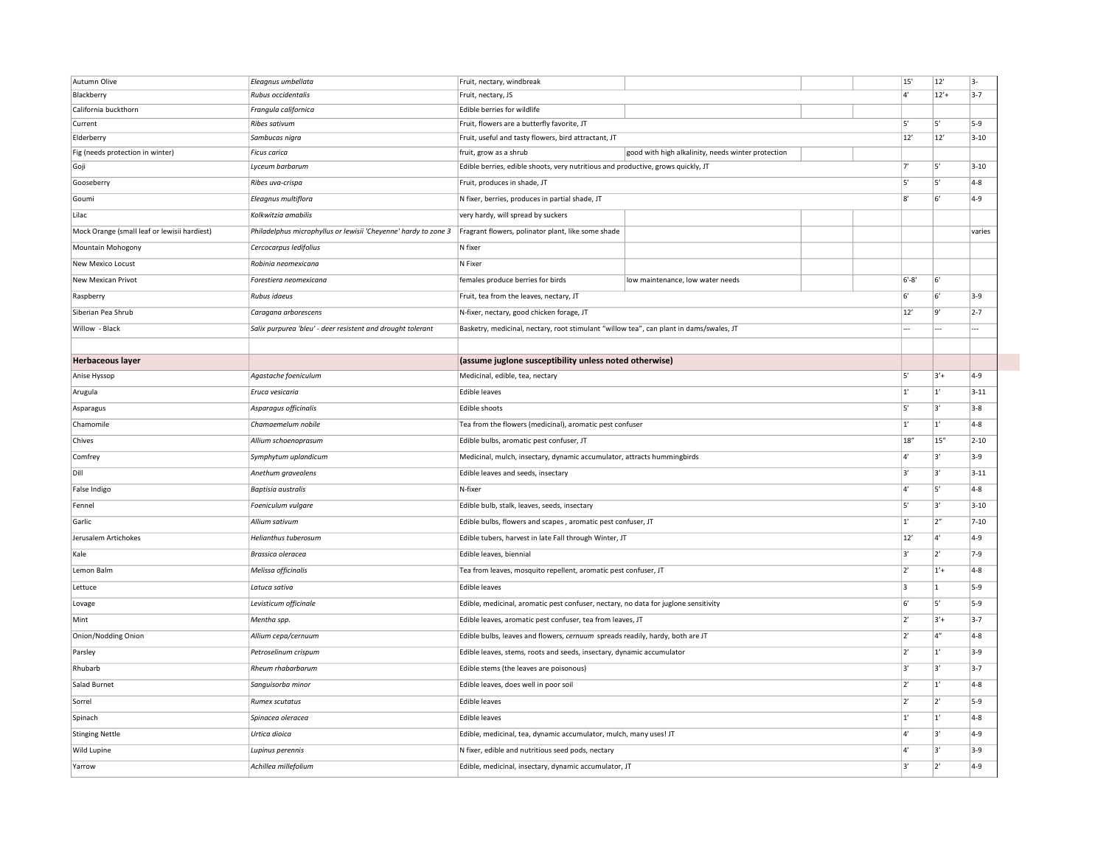| Autumn Olive                                 | Eleagnus umbellata                                              | Fruit, nectary, windbreak                                                               |                                                    | 15'            | 12'          | 3-       |
|----------------------------------------------|-----------------------------------------------------------------|-----------------------------------------------------------------------------------------|----------------------------------------------------|----------------|--------------|----------|
| Blackberry                                   | Rubus occidentalis                                              | Fruit, nectary, JS                                                                      |                                                    | 4'             | $12' +$      | $3 - 7$  |
| California buckthorn                         | Frangula californica                                            | Edible berries for wildlife                                                             |                                                    |                |              |          |
| Current                                      | Ribes sativum                                                   | Fruit, flowers are a butterfly favorite, JT                                             |                                                    |                | 5'           | $5-9$    |
| Elderberry                                   | Sambucas nigra                                                  | Fruit, useful and tasty flowers, bird attractant, JT                                    |                                                    |                | 12'          | $3 - 10$ |
| Fig (needs protection in winter)             | <b>Ficus carica</b>                                             | fruit, grow as a shrub                                                                  | good with high alkalinity, needs winter protection | $\overline{7}$ |              |          |
| Goji                                         | Lyceum barbarum                                                 | Edible berries, edible shoots, very nutritious and productive, grows quickly, JT        |                                                    |                | 5            | $3 - 10$ |
| Gooseberry                                   | Ribes uva-crispa                                                | Fruit, produces in shade, JT                                                            |                                                    |                | 5            | $4-8$    |
| Goumi                                        | Eleagnus multiflora                                             | N fixer, berries, produces in partial shade, JT                                         |                                                    | $\mathsf{R}'$  | 6'           | $4 - 9$  |
| Lilac                                        | Kolkwitzia amabilis                                             | very hardy, will spread by suckers                                                      |                                                    |                |              |          |
| Mock Orange (small leaf or lewisii hardiest) | Philadelphus microphyllus or lewisii 'Cheyenne' hardy to zone 3 | Fragrant flowers, polinator plant, like some shade                                      |                                                    |                |              | varies   |
| Mountain Mohogony                            | Cercocarpus ledifolius                                          | N fixer                                                                                 |                                                    |                |              |          |
| New Mexico Locust                            | Robinia neomexicana                                             | N Fixer                                                                                 |                                                    |                |              |          |
| New Mexican Privot                           | Forestiera neomexicana                                          | females produce berries for birds                                                       | low maintenance, low water needs                   | $6' - 8'$      | 6'           |          |
| Raspberry                                    | Rubus idaeus                                                    | Fruit, tea from the leaves, nectary, JT                                                 |                                                    | 6              | 6'           | $3-9$    |
| Siberian Pea Shrub                           | Caragana arborescens                                            | N-fixer, nectary, good chicken forage, JT                                               |                                                    | 12'            | 9'           | $2 - 7$  |
| Willow - Black                               | Salix purpurea 'bleu' - deer resistent and drought tolerant     | Basketry, medicinal, nectary, root stimulant "willow tea", can plant in dams/swales, JT |                                                    |                | ---          |          |
|                                              |                                                                 |                                                                                         |                                                    |                |              |          |
| <b>Herbaceous layer</b>                      |                                                                 | (assume juglone susceptibility unless noted otherwise)                                  |                                                    |                |              |          |
| Anise Hyssop                                 | Agastache foeniculum                                            | Medicinal, edible, tea, nectary                                                         |                                                    | 5'             | $3'+$        | $4-9$    |
| Arugula                                      | Eruca vesicaria                                                 | Edible leaves                                                                           |                                                    |                |              | $3 - 11$ |
| Asparagus                                    | Asparagus officinalis                                           | Edible shoots                                                                           |                                                    | 5'             | 31           | $3-8$    |
| Chamomile                                    | Chamaemelum nobile                                              | Tea from the flowers (medicinal), aromatic pest confuser                                |                                                    |                | $ 1\rangle$  | $4-8$    |
| Chives                                       | Allium schoenoprasum                                            | Edible bulbs, aromatic pest confuser, JT                                                |                                                    |                | 15"          | $2 - 10$ |
| Comfrey                                      | Symphytum uplandicum                                            | Medicinal, mulch, insectary, dynamic accumulator, attracts hummingbirds                 |                                                    |                | 31           | $3-9$    |
| Dill                                         | Anethum graveolens                                              | Edible leaves and seeds, insectary                                                      |                                                    |                | 3            | $3 - 11$ |
| False Indigo                                 | <b>Baptisia</b> australis                                       | N-fixer                                                                                 |                                                    |                | 5            | $4-8$    |
| Fennel                                       | Foeniculum vulgare                                              | Edible bulb, stalk, leaves, seeds, insectary                                            |                                                    |                | 3            | $3 - 10$ |
| Garlic                                       | Allium sativum                                                  | Edible bulbs, flowers and scapes, aromatic pest confuser, JT                            |                                                    |                | 2"           | $7 - 10$ |
| Jerusalem Artichokes                         | Helianthus tuberosum                                            | Edible tubers, harvest in late Fall through Winter, JT                                  |                                                    |                | 41           | $4-9$    |
| Kale                                         | Brassica oleracea                                               | Edible leaves, biennial                                                                 |                                                    | ∤ء             | 2'           | $7-9$    |
| Lemon Balm                                   | Melissa officinalis                                             | Tea from leaves, mosquito repellent, aromatic pest confuser, JT                         |                                                    | 2'             | $1'+$        | $4-8$    |
| Lettuce                                      | Latuca sativa                                                   | <b>Edible leaves</b>                                                                    |                                                    | 3              | $\vert$ 1    | $5-9$    |
| Lovage                                       | Levisticum officinale                                           | Edible, medicinal, aromatic pest confuser, nectary, no data for juglone sensitivity     |                                                    | 6              | 5            | $5-9$    |
| Mint                                         | Mentha spp.                                                     | Edible leaves, aromatic pest confuser, tea from leaves, JT                              |                                                    | 2'             | $3'+$        | $3-7$    |
| Onion/Nodding Onion                          | Allium cepa/cernuum                                             | Edible bulbs, leaves and flowers, cernuum spreads readily, hardy, both are JT           |                                                    | 2'             | 4"           | $4-8$    |
| Parsley                                      | Petroselinum crispum                                            | Edible leaves, stems, roots and seeds, insectary, dynamic accumulator                   |                                                    | $ 2\rangle$    | 1'           | $3-9$    |
| Rhubarb                                      | Rheum rhabarbarum                                               | Edible stems (the leaves are poisonous)                                                 |                                                    | 3'             | 3'           | $3 - 7$  |
| Salad Burnet                                 | Sanguisorba minor                                               | Edible leaves, does well in poor soil                                                   |                                                    |                | $ 1\rangle$  | $4-8$    |
| Sorrel                                       | Rumex scutatus                                                  | <b>Edible leaves</b>                                                                    |                                                    | 2'             | $2^{\prime}$ | $5-9$    |
| Spinach                                      | Spinacea oleracea                                               | <b>Edible leaves</b>                                                                    |                                                    |                | 1'           | $4-8$    |
| <b>Stinging Nettle</b>                       | Urtica dioica                                                   | Edible, medicinal, tea, dynamic accumulator, mulch, many uses! JT                       |                                                    |                | 31           | $4 - 9$  |
| Wild Lupine                                  | Lupinus perennis                                                | N fixer, edible and nutritious seed pods, nectary                                       |                                                    |                | 3'           | $3-9$    |
| Yarrow                                       | Achillea millefolium                                            | Edible, medicinal, insectary, dynamic accumulator, JT                                   |                                                    |                | $2^{\prime}$ | $4 - 9$  |
|                                              |                                                                 |                                                                                         |                                                    |                |              |          |